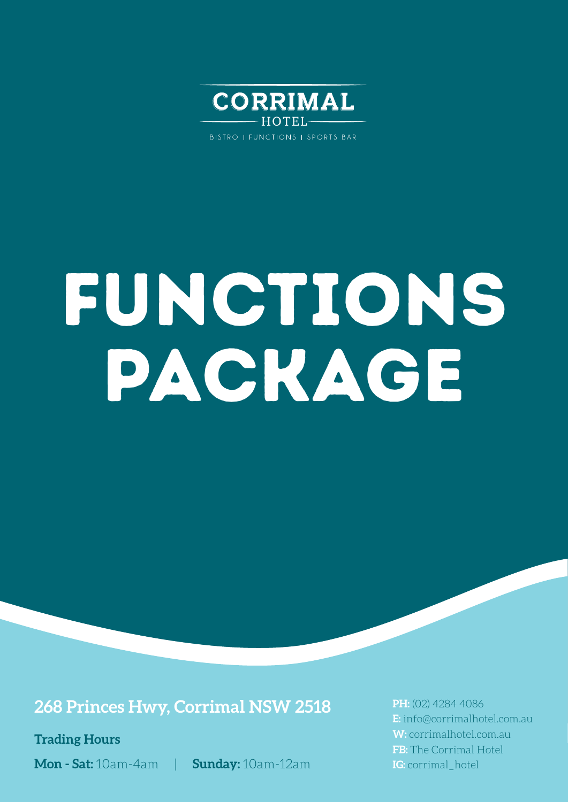

BISTRO | FUNCTIONS | SPORTS BAR

# FUNCTIONS PACKAGE

### **268 Princes Hwy, Corrimal NSW 2518**

**Trading Hours**

**Mon - Sat:** 10am-4am | **Sunday:** 10am-12am

**PH:** (02) 4284 4086 **E:** info@corrimalhotel.com.au **W:** corrimalhotel.com.au **FB:** The Corrimal Hotel **IG:** corrimal hotel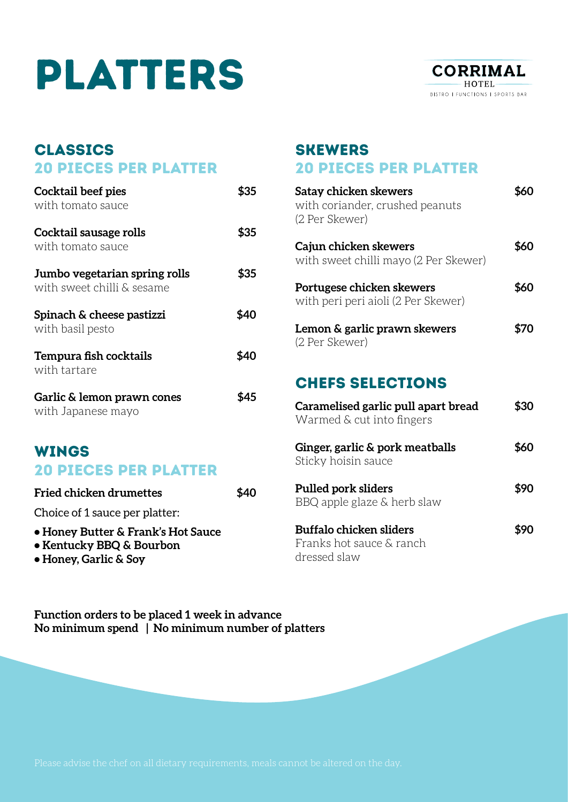## PLATTERS



#### **CLASSICS** 20 PIECES PER PLATTER

| Cocktail beef pies<br>with tomato sauce                     | \$35 |
|-------------------------------------------------------------|------|
| Cocktail sausage rolls<br>with tomato sauce                 | \$35 |
| Jumbo vegetarian spring rolls<br>with sweet chilli & sesame | \$35 |
| Spinach & cheese pastizzi<br>with basil pesto               | 540  |
| Tempura fish cocktails<br>with tartare                      | \$40 |
| Garlic & lemon prawn cones<br>with Japanese mayo            |      |

### WINGS 20 PIECES PER PLATTER

| <b>Fried chicken drumettes</b>                                                          | \$40 |
|-----------------------------------------------------------------------------------------|------|
| Choice of 1 sauce per platter:                                                          |      |
| • Honey Butter & Frank's Hot Sauce<br>• Kentucky BBQ & Bourbon<br>• Honey, Garlic & Soy |      |

### SKEWERS 20 PIECES PER PLATTER

| Satay chicken skewers<br>with coriander, crushed peanuts<br>(2 Per Skewer) | \$60 |
|----------------------------------------------------------------------------|------|
| Cajun chicken skewers<br>with sweet chilli mayo (2 Per Skewer)             | \$60 |
| Portugese chicken skewers<br>with peri peri aioli (2 Per Skewer)           | \$60 |
| Lemon & garlic prawn skewers<br>(2 Per Skewer)                             | \$70 |
| <b>CHEFS SELECTIONS</b>                                                    |      |
| Caramelised garlic pull apart bread<br>Warmed & cut into fingers           | \$30 |
| Ginger, garlic & pork meatballs<br>Sticky hoisin sauce                     | \$60 |
| <b>Pulled pork sliders</b><br>BBQ apple glaze & herb slaw                  | \$90 |
| <b>Buffalo chicken sliders</b><br>Franks hot sauce & ranch                 | \$90 |

Franks hot sauce & ranch dressed slaw

**Function orders to be placed 1 week in advance No minimum spend | No minimum number of platters**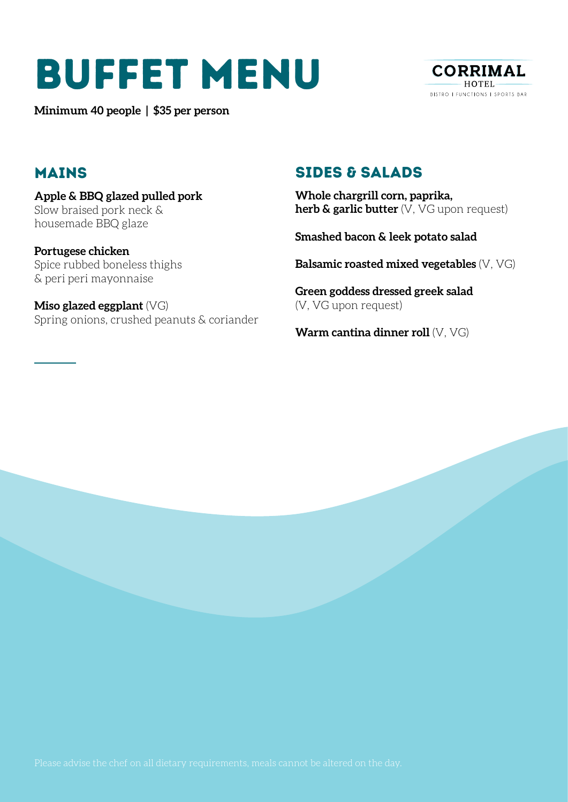### BUFFET MENU

**Minimum 40 people | \$35 per person** 



### MAINS

**Apple & BBQ glazed pulled pork**  Slow braised pork neck & housemade BBQ glaze

**Portugese chicken**  Spice rubbed boneless thighs & peri peri mayonnaise

**Miso glazed eggplant** (VG) Spring onions, crushed peanuts & coriander

### SIDES & SALADS

**Whole chargrill corn, paprika, herb & garlic butter** (V, VG upon request)

**Smashed bacon & leek potato salad**

**Balsamic roasted mixed vegetables** (V, VG)

**Green goddess dressed greek salad**  (V, VG upon request)

**Warm cantina dinner roll** (V, VG)